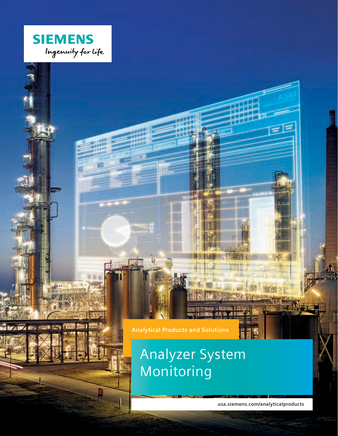

41021074

**Analytical Products and Solutions**

# Analyzer System Monitoring

**usa.siemens.com/analyticalproducts**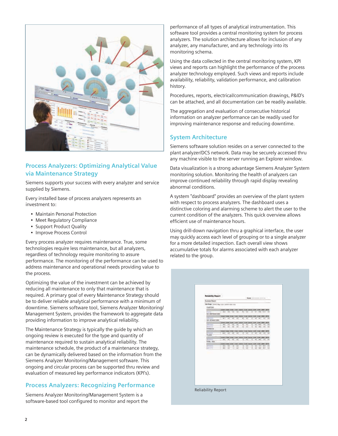

## **Process Analyzers: Optimizing Analytical Value via Maintenance Strategy**

Siemens supports your success with every analyzer and service supplied by Siemens.

Every installed base of process analyzers represents an investment to:

- Maintain Personal Protection
- Meet Regulatory Compliance
- Support Product Quality
- Improve Process Control

Every process analyzer requires maintenance. True, some technologies require less maintenance, but all analyzers, regardless of technology require monitoring to assure performance. The monitoring of the performance can be used to address maintenance and operational needs providing value to the process.

Optimizing the value of the investment can be achieved by reducing all maintenance to only that maintenance that is required. A primary goal of every Maintenance Strategy should be to deliver reliable analytical performance with a minimum of downtime. Siemens software tool, Siemens Analyzer Monitoring/ Management System, provides the framework to aggregate data providing information to improve analytical reliability.

The Maintenance Strategy is typically the guide by which an ongoing review is executed for the type and quantity of maintenance required to sustain analytical reliability. The maintenance schedule, the product of a maintenance strategy, can be dynamically delivered based on the information from the Siemens Analyzer Monitoring/Management software. This ongoing and circular process can be supported thru review and evaluation of measured key performance indicators (KPI's).

## **Process Analyzers: Recognizing Performance**

Siemens Analyzer Monitoring/Management System is a software-based tool configured to monitor and report the performance of all types of analytical instrumentation. This software tool provides a central monitoring system for process analyzers. The solution architecture allows for inclusion of any analyzer, any manufacturer, and any technology into its monitoring schema.

Using the data collected in the central monitoring system, KPI views and reports can highlight the performance of the process analyzer technology employed. Such views and reports include availability, reliability, validation performance, and calibration history.

Procedures, reports, electrical/communication drawings, P&ID's can be attached, and all documentation can be readily available.

The aggregation and evaluation of consecutive historical information on analyzer performance can be readily used for improving maintenance response and reducing downtime.

#### **System Architecture**

Siemens software solution resides on a server connected to the plant analyzer/DCS network. Data may be securely accessed thru any machine visible to the server running an Explorer window.

Data visualization is a strong advantage Siemens Analyzer System monitoring solution. Monitoring the health of analyzers can improve continued reliability through rapid display revealing abnormal conditions.

A system "dashboard" provides an overview of the plant system with respect to process analyzers. The dashboard uses a distinctive coloring and alarming scheme to alert the user to the current condition of the analyzers. This quick overview allows efficient use of maintenance hours.

Using drill-down navigation thru a graphical interface, the user may quickly access each level of grouping or to a single analyzer for a more detailed inspection. Each overall view shows accumulative totals for alarms associated with each analyzer related to the group.

| <b>Buenes Record</b>                                     |                                                                                                                                                                                             |
|----------------------------------------------------------|---------------------------------------------------------------------------------------------------------------------------------------------------------------------------------------------|
|                                                          | AN THE COIN WAS SERVED AND RE-                                                                                                                                                              |
| <b>CLAPTING</b>                                          |                                                                                                                                                                                             |
|                                                          | Silver Arms, Silver<br><b>Star   detect   Star   Secon  </b><br>18.000<br><b>Sides</b>                                                                                                      |
| <b>STATISTICS</b><br>۱<br><b><i>LE JAPTELIA LTDS</i></b> | \$4. 00 00 00<br>w<br>447<br>34.164<br><b>COLOR</b><br>×<br>٠                                                                                                                               |
| ۰                                                        | 54x6 54M-54W<br>5.94<br>618 1616<br>$L$ - And<br>448<br><b>SERVICE</b>                                                                                                                      |
| WELLING<br><b>CE STEMSTER</b>                            | $40 - 240 = 440$<br>144.11.90<br>w<br>$\sim$<br>w<br>$40 - 140$<br>-                                                                                                                        |
|                                                          | Silver, Killedy, School<br><b>STAY   REFOR   SIZE   BAIRD   BIRT</b><br>53.646<br>٠                                                                                                         |
| <b>HILLE</b>                                             | $\overline{a}$<br>$\overline{1}$<br>$-100$<br>$-44.$<br>1.951.046<br>×<br>$-44$<br>w<br>$-$<br>$\sim$                                                                                       |
| 3111111<br>yhtidasi ib                                   | $\overline{\phantom{a}}$<br>1.640<br>$\sim$<br>$\frac{1}{2}$<br>$\sim$<br>$-0.6$<br><b>WHEN</b><br>$\sim$<br>×<br><b>ALC</b><br>÷                                                           |
|                                                          | that has the big anti-jump and car can<br>www.lares                                                                                                                                         |
| <b>STEADS</b><br>Y                                       | <b>TENT</b><br>$-0.05$<br>$-40 -$<br>1.946<br>$-$<br>$-446$<br>$\sim$<br>×<br>$=$<br>$\rightarrow$<br>٠                                                                                     |
| <b>FLEET</b>                                             |                                                                                                                                                                                             |
| <b>TIETTA</b><br><b>HIGHI</b>                            | ASAN THREE STAFF STAFF DATA CALL FAINT STAFF STAFF WITH<br><b>SPINE</b><br><b>Bill</b><br>$\overline{1}$<br>$-44$<br>$1 - 41 - 44$<br>$-4.05$<br>$\overline{a}$<br>$^{12}$<br>$\cdots$<br>٠ |
| WHILE, GALA<br>ı                                         |                                                                                                                                                                                             |
| <b>MONTHS</b>                                            | AANA TARAH SANA TARAH TAASA TAASA TAARTI SANA TARAH<br><b>AFTER</b><br>$\overline{a}$<br>$\frac{1}{2}$<br>1 Mill<br>$\frac{1}{2}$<br>$\rightarrow$<br>×<br><b>Telephone</b>                 |
| <b>AGT-TTF</b>                                           | 45<br>$\rightarrow$<br>u<br>z<br>$\sim$<br>46<br>A1<br>w<br>W-F<br>$-44$<br><b>Section</b>                                                                                                  |
|                                                          |                                                                                                                                                                                             |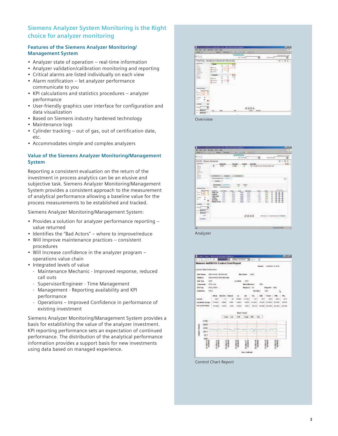## **Siemens Analyzer System Monitoring is the Right choice for analyzer monitoring**

#### **Features of the Siemens Analyzer Monitoring/ Management System**

- Analyzer state of operation real-time information
- Analyzer validation/calibration monitoring and reporting
- Critical alarms are listed individually on each view
- Alarm notification let analyzer performance communicate to you
- KPI calculations and statistics procedures analyzer performance
- User-friendly graphics user interface for configuration and data visualization
- Based on Siemens industry hardened technology
- Maintenance logs
- Cylinder tracking out of gas, out of certification date, etc.
- Accommodates simple and complex analyzers

#### **Value of the Siemens Analyzer Monitoring/Management System**

Reporting a consistent evaluation on the return of the investment in process analytics can be an elusive and subjective task. Siemens Analyzer Monitoring/Management System provides a consistent approach to the measurement of analytical performance allowing a baseline value for the process measurements to be established and tracked.

Siemens Analyzer Monitoring/Management System:

- Provides a solution for analyzer performance reporting value returned
- Identifies the "Bad Actors" where to improve/reduce
- Will Improve maintenance practices consistent procedures
- Will Increase confidence in the analyzer program operations value chain
- Integrated levels of value
	- Maintenance Mechanic Improved response, reduced call outs
	- Supervisor/Engineer Time Management
	- Management Reporting availability and KPI performance
	- Operations Improved Confidence in performance of existing investment

Siemens Analyzer Monitoring/Management System provides a basis for establishing the value of the analyzer investment. KPI reporting performance sets an expectation of continued performance. The distribution of the analytical performance information provides a support basis for new investments using data based on managed experience.





Analyzer



Control Chart Report